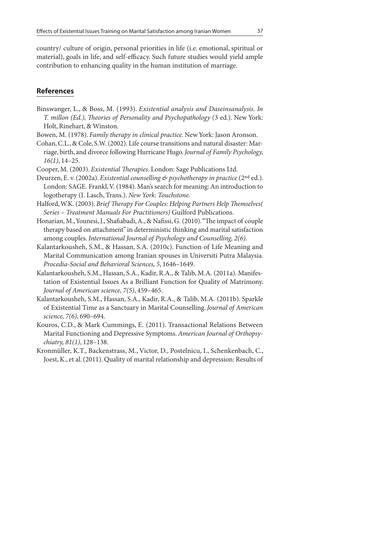country/ culture of origin, personal priorities in life (i.e. emotional, spiritual or material), goals in life, and self-efficacy. Such future studies would yield ample contribution to enhancing quality in the human institution of marriage.

## **References**

- Binswanger, L., & Boss, M. (1993). Existential analysis and Daseinsanalysis. In T. millon (Ed.), Theories of Personality and Psychopathology (3 ed.). New York: Holt, Rinehart, & Winston.
- Bowen, M. (1978). Family therapy in clinical practice. New York: Jason Aronson.
- Cohan, C.L., & Cole, S.W. (2002). Life course transitions and natural disaster: Marriage, birth, and divorce following Hurricane Hugo. Journal of Family Psychology, 16(1), 14–25.
- Cooper, M. (2003). Existential Therapies. London: Sage Publications Ltd.
- Deurzen, E. v. (2002a). Existential counselling  $\mathfrak{G}$  psychotherapy in practice (2<sup>nd</sup> ed.). London: SAGE. Frankl, V. (1984). Man's search for meaning: An introduction to logotherapy (I. Lasch, Trans.). New York: Touchstone.
- Halford, W.K. (2003). Brief Therapy For Couples: Helping Partners Help Themselves( Series – Treatment Manuals For Practitioners) Guilford Publications.
- Honarian, M., Younesi, J., Shafiabadi, A., & Nafissi, G. (2010). "The impact of couple therapy based on attachment" in deterministic thinking and marital satisfaction among couples. International Journal of Psychology and Counselling, 2(6).
- Kalantarkousheh, S.M., & Hassan, S.A. (2010c). Function of Life Meaning and Marital Communication among Iranian spouses in Universiti Putra Malaysia. Procedia-Social and Behavioral Sciences, 5, 1646–1649.
- Kalantarkousheh, S.M., Hassan, S.A., Kadir, R.A., & Talib, M.A. (2011a). Manifestation of Existential Issues As a Brilliant Function for Quality of Matrimony. Journal of American science, 7(5), 459–465.
- Kalantarkousheh, S.M., Hassan, S.A., Kadir, R.A., & Talib, M.A. (2011b). Sparkle of Existential Time as a Sanctuary in Marital Counselling. Journal of American science, 7(6), 690–694.
- Kouros, C.D., & Mark Cummings, E. (2011). Transactional Relations Between Marital Functioning and Depressive Symptoms. American Journal of Orthopsychiatry, 81(1), 128–138.
- Kronmüller, K.T., Backenstrass, M., Victor, D., Postelnicu, I., Schenkenbach, C., Joest, K., et al. (2011). Quality of marital relationship and depression: Results of